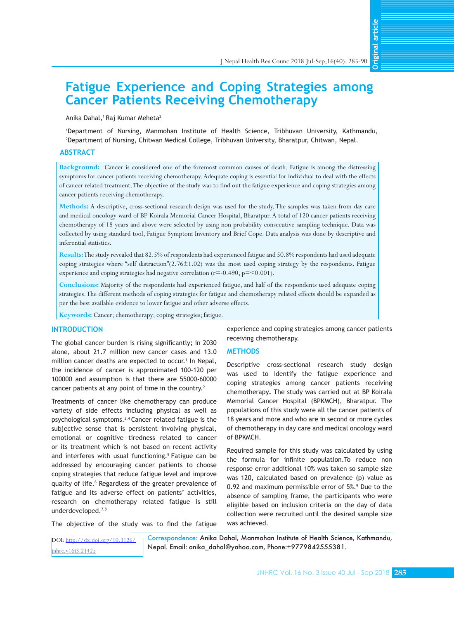**Original article** 

# **Fatigue Experience and Coping Strategies among Cancer Patients Receiving Chemotherapy**

## Anika Dahal,<sup>1</sup> Raj Kumar Meheta<sup>2</sup>

1 Department of Nursing, Manmohan Institute of Health Science, Tribhuvan University, Kathmandu, 2 Department of Nursing, Chitwan Medical College, Tribhuvan University, Bharatpur, Chitwan, Nepal.

## **ABSTRACT**

**Background:** Cancer is considered one of the foremost common causes of death. Fatigue is among the distressing symptoms for cancer patients receiving chemotherapy. Adequate coping is essential for individual to deal with the effects of cancer related treatment. The objective of the study was to find out the fatigue experience and coping strategies among cancer patients receiving chemotherapy.

**Methods:** A descriptive, cross-sectional research design was used for the study. The samples was taken from day care and medical oncology ward of BP Koirala Memorial Cancer Hospital, Bharatpur. A total of 120 cancer patients receiving chemotherapy of 18 years and above were selected by using non probability consecutive sampling technique. Data was collected by using standard tool, Fatigue Symptom Inventory and Brief Cope. Data analysis was done by descriptive and inferential statistics.

**Results:**The study revealed that 82.5% of respondents had experienced fatigue and 50.8% respondents had used adequate coping strategies where "self distraction" $(2.76\pm1.02)$  was the most used coping strategy by the respondents. Fatigue experience and coping strategies had negative correlation (r=-0.490, p=<0.001).

**Conclusions:** Majority of the respondents had experienced fatigue, and half of the respondents used adequate coping strategies. The different methods of coping strategies for fatigue and chemotherapy related effects should be expanded as per the best available evidence to lower fatigue and other adverse effects.

**Keywords:** Cancer; chemotherapy; coping strategies; fatigue.

# **INTRODUCTION**

The global cancer burden is rising significantly; in 2030 alone, about 21.7 million new cancer cases and 13.0 million cancer deaths are expected to occur.<sup>1</sup> In Nepal, the incidence of cancer is approximated 100-120 per 100000 and assumption is that there are 55000-60000 cancer patients at any point of time in the country.<sup>2</sup>

Treatments of cancer like chemotherapy can produce variety of side effects including physical as well as psychological symptoms.3,4 Cancer related fatigue is the subjective sense that is persistent involving physical, emotional or cognitive tiredness related to cancer or its treatment which is not based on recent activity and interferes with usual functioning.<sup>5</sup> Fatigue can be addressed by encouraging cancer patients to choose coping strategies that reduce fatigue level and improve quality of life.<sup>6</sup> Regardless of the greater prevalence of fatigue and its adverse effect on patients' activities, research on chemotherapy related fatigue is still underdeveloped.7,8

experience and coping strategies among cancer patients receiving chemotherapy.

## **METHODS**

Descriptive cross-sectional research study design was used to identify the fatigue experience and coping strategies among cancer patients receiving chemotherapy**.** The study was carried out at BP Koirala Memorial Cancer Hospital (BPKMCH), Bharatpur. The populations of this study were all the cancer patients of 18 years and more and who are in second or more cycles of chemotherapy in day care and medical oncology ward of BPKMCH.

Required sample for this study was calculated by using the formula for infinite population.To reduce non response error additional 10% was taken so sample size was 120, calculated based on prevalence (p) value as 0.92 and maximum permissible error of 5%.<sup>9</sup> Due to the absence of sampling frame, the participants who were eligible based on inclusion criteria on the day of data collection were recruited until the desired sample size was achieved.

The objective of the study was to find the fatigue

```
DOI: http://dx.doi.org/10.3126/
jnhrc.v16i3.21425
```
Correspondence: Anika Dahal, Manmohan Institute of Health Science, Kathmandu, Nepal. Email: anika\_dahal@yahoo.com, Phone:+9779842555381.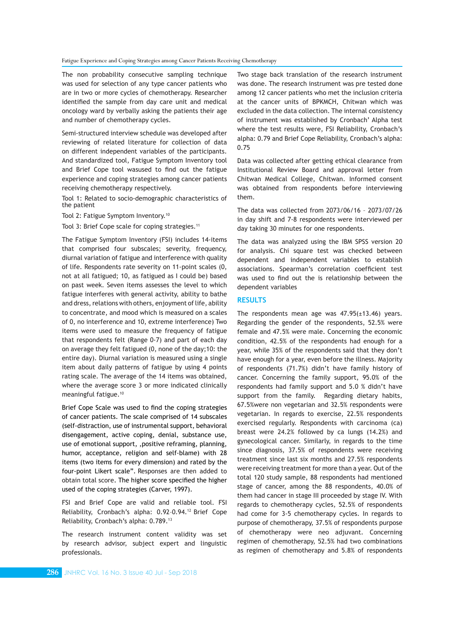#### Fatigue Experience and Coping Strategies among Cancer Patients Receiving Chemotherapy

The non probability consecutive sampling technique was used for selection of any type cancer patients who are in two or more cycles of chemotherapy. Researcher identified the sample from day care unit and medical oncology ward by verbally asking the patients their age and number of chemotherapy cycles.

Semi-structured interview schedule was developed after reviewing of related literature for collection of data on different independent variables of the participants. And standardized tool, Fatigue Symptom Inventory tool and Brief Cope tool wasused to find out the fatigue experience and coping strategies among cancer patients receiving chemotherapy respectively.

Tool 1: Related to socio-demographic characteristics of the patient

Tool 2: Fatigue Symptom Inventory.10

Tool 3: Brief Cope scale for coping strategies.<sup>11</sup>

The Fatigue Symptom Inventory (FSI) includes 14-items that comprised four subscales; severity, frequency, diurnal variation of fatigue and interference with quality of life. Respondents rate severity on 11-point scales (0, not at all fatigued; 10, as fatigued as I could be) based on past week. Seven items assesses the level to which fatigue interferes with general activity, ability to bathe and dress, relations with others, enjoyment of life, ability to concentrate, and mood which is measured on a scales of 0, no interference and 10, extreme interference) Two items were used to measure the frequency of fatigue that respondents felt (Range 0-7) and part of each day on average they felt fatigued (0, none of the day;10: the entire day). Diurnal variation is measured using a single item about daily patterns of fatigue by using 4 points rating scale. The average of the 14 items was obtained, where the average score 3 or more indicated clinically meaningful fatigue.10

Brief Cope Scale was used to find the coping strategies of cancer patients. The scale comprised of 14 subscales (self-distraction, use of instrumental support, behavioral disengagement, active coping, denial, substance use, use of emotional support, ,positive reframing, planning, humor, acceptance, religion and self-blame) with 28 items (two items for every dimension) and rated by the four-point Likert scale". Responses are then added to obtain total score. The higher score specified the higher used of the coping strategies (Carver, 1997).

FSI and Brief Cope are valid and reliable tool. FSI Reliability, Cronbach's alpha: 0.92-0.94.<sup>12</sup> Brief Cope Reliability, Cronbach's alpha: 0.789.13

The research instrument content validity was set by research advisor, subject expert and linguistic professionals.

Two stage back translation of the research instrument was done. The research instrument was pre tested done among 12 cancer patients who met the inclusion criteria at the cancer units of BPKMCH, Chitwan which was excluded in the data collection. The internal consistency of instrument was established by Cronbach' Alpha test where the test results were, FSI Reliability, Cronbach's alpha: 0.79 and Brief Cope Reliability, Cronbach's alpha: 0.75

Data was collected after getting ethical clearance from Institutional Review Board and approval letter from Chitwan Medical College, Chitwan. Informed consent was obtained from respondents before interviewing them.

The data was collected from 2073/06/16 – 2073/07/26 in day shift and 7-8 respondents were interviewed per day taking 30 minutes for one respondents.

The data was analyzed using the IBM SPSS version 20 for analysis. Chi square test was checked between dependent and independent variables to establish associations. Spearman's correlation coefficient test was used to find out the is relationship between the dependent variables

## **RESULTS**

The respondents mean age was  $47.95(\pm 13.46)$  years. Regarding the gender of the respondents, 52.5% were female and 47.5% were male. Concerning the economic condition, 42.5% of the respondents had enough for a year, while 35% of the respondents said that they don't have enough for a year, even before the illness. Majority of respondents (71.7%) didn't have family history of cancer. Concerning the family support, 95.0% of the respondents had family support and 5.0 % didn't have support from the family. Regarding dietary habits, 67.5%were non vegetarian and 32.5% respondents were vegetarian. In regards to exercise, 22.5% respondents exercised regularly. Respondents with carcinoma (ca) breast were 24.2% followed by ca lungs (14.2%) and gynecological cancer. Similarly, in regards to the time since diagnosis, 37.5% of respondents were receiving treatment since last six months and 27.5% respondents were receiving treatment for more than a year. Out of the total 120 study sample, 88 respondents had mentioned stage of cancer, among the 88 respondents, 40.0% of them had cancer in stage III proceeded by stage IV. With regards to chemotherapy cycles, 52.5% of respondents had come for 3-5 chemotherapy cycles. In regards to purpose of chemotherapy, 37.5% of respondents purpose of chemotherapy were neo adjuvant. Concerning regimen of chemotherapy, 52.5% had two combinations as regimen of chemotherapy and 5.8% of respondents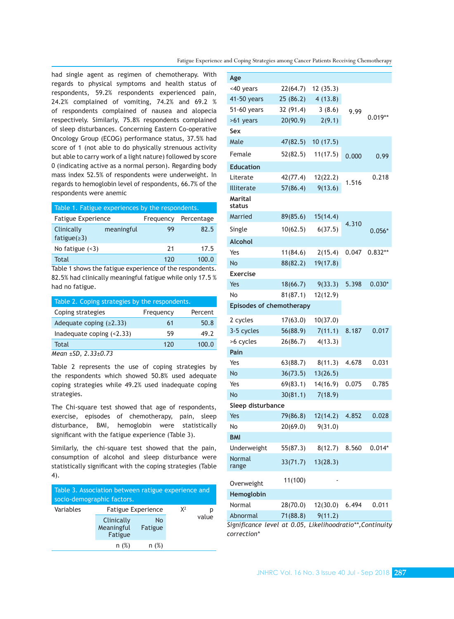Fatigue Experience and Coping Strategies among Cancer Patients Receiving Chemotherapy

had single agent as regimen of chemotherapy. With regards to physical symptoms and health status of respondents, 59.2% respondents experienced pain, 24.2% complained of vomiting, 74.2% and 69.2 % of respondents complained of nausea and alopecia respectively. Similarly, 75.8% respondents complained of sleep disturbances. Concerning Eastern Co-operative Oncology Group (ECOG) performance status, 37.5% had score of 1 (not able to do physically strenuous activity but able to carry work of a light nature) followed by score 0 (indicating active as a normal person). Regarding body mass index 52.5% of respondents were underweight. In regards to hemoglobin level of respondents, 66.7% of the respondents were anemic

| Table 1. Fatigue experiences by the respondents. |            |           |            |  |
|--------------------------------------------------|------------|-----------|------------|--|
| <b>Fatigue Experience</b>                        |            | Frequency | Percentage |  |
| Clinically<br>fatigue $(23)$                     | meaningful | 99        | 82.5       |  |
| No fatigue $(3)$                                 |            | 21        | 17.5       |  |
| Total                                            |            | 120       | 100.0      |  |

Table 1 shows the fatigue experience of the respondents. 82.5% had clinically meaningful fatigue while only 17.5 % had no fatigue.

| Table 2. Coping strategies by the respondents. |           |         |  |  |
|------------------------------------------------|-----------|---------|--|--|
| Coping strategies                              | Frequency | Percent |  |  |
| Adequate coping $(≥2.33)$                      | 61        | 50.8    |  |  |
| Inadequate coping $(2.33)$                     | 59        | 49.2    |  |  |
| Total                                          | 120       | 100.0   |  |  |
| $M2an + SD$ 2.3+0.73                           |           |         |  |  |

*Mean ±SD, 2.33±0.73*

Table 2 represents the use of coping strategies by the respondents which showed 50.8% used adequate coping strategies while 49.2% used inadequate coping strategies.

The Chi-square test showed that age of respondents, exercise, episodes of chemotherapy, pain, sleep disturbance, BMI, hemoglobin were statistically significant with the fatigue experience (Table 3).

Similarly, the chi-square test showed that the pain, consumption of alcohol and sleep disturbance were statistically significant with the coping strategies (Table 4).

| Table 3. Association between ratigue experience and<br>socio-demographic factors. |                                     |               |  |       |
|-----------------------------------------------------------------------------------|-------------------------------------|---------------|--|-------|
| Variables                                                                         | <b>Fatigue Experience</b>           | $X^2$         |  |       |
|                                                                                   | Clinically<br>Meaningful<br>Fatigue | No<br>Fatigue |  | value |
|                                                                                   | n(%)                                | n(%)          |  |       |

| Age                      |                                                          |          |       |           |
|--------------------------|----------------------------------------------------------|----------|-------|-----------|
| <40 years                | 22(64.7)                                                 | 12(35.3) |       |           |
| 41-50 years              | 25(86.2)                                                 | 4(13.8)  |       |           |
| 51-60 years              | 32 (91.4)                                                | 3(8.6)   | 9.99  |           |
| >61 years                | 20(90.9)                                                 | 2(9.1)   |       | $0.019**$ |
| Sex                      |                                                          |          |       |           |
| Male                     | 47(82.5)                                                 | 10(17.5) |       |           |
| Female                   | 52(82.5)                                                 | 11(17.5) | 0.000 | 0.99      |
| <b>Education</b>         |                                                          |          |       |           |
| Literate                 | 42(77.4)                                                 | 12(22.2) | 1.516 | 0.218     |
| Illiterate               | 57(86.4)                                                 | 9(13.6)  |       |           |
| <b>Marital</b><br>status |                                                          |          |       |           |
| Married                  | 89(85.6)                                                 | 15(14.4) |       |           |
| Single                   | 10(62.5)                                                 | 6(37.5)  | 4.310 | $0.056*$  |
| <b>Alcohol</b>           |                                                          |          |       |           |
| Yes                      | 11(84.6)                                                 | 2(15.4)  | 0.047 | $0.832**$ |
| <b>No</b>                | 88(82.2)                                                 | 19(17.8) |       |           |
| <b>Exercise</b>          |                                                          |          |       |           |
| Yes                      | 18(66.7)                                                 | 9(33.3)  | 5.398 | $0.030*$  |
| No                       | 81(87.1)                                                 | 12(12.9) |       |           |
|                          | <b>Episodes of chemotherapy</b>                          |          |       |           |
| 2 cycles                 | 17(63.0)                                                 | 10(37.0) |       |           |
| 3-5 cycles               | 56(88.9)                                                 | 7(11.1)  | 8.187 | 0.017     |
| >6 cycles                | 26(86.7)                                                 | 4(13.3)  |       |           |
| Pain                     |                                                          |          |       |           |
| Yes                      | 63(88.7)                                                 | 8(11.3)  | 4.678 | 0.031     |
| No                       | 36(73.5)                                                 | 13(26.5) |       |           |
| Yes                      | 69(83.1)                                                 | 14(16.9) | 0.075 | 0.785     |
| No                       | 30(81.1)                                                 | 7(18.9)  |       |           |
| Sleep disturbance        |                                                          |          |       |           |
| Yes                      | 79(86.8)                                                 | 12(14.2) | 4.852 | 0.028     |
| No                       | 20(69.0)                                                 | 9(31.0)  |       |           |
| <b>BMI</b>               |                                                          |          |       |           |
| Underweight              | 55(87.3)                                                 | 8(12.7)  | 8.560 | $0.014*$  |
| Normal<br>range          | 33(71.7)                                                 | 13(28.3) |       |           |
| Overweight               | 11(100)                                                  |          |       |           |
| Hemoglobin               |                                                          |          |       |           |
| Normal                   | 28(70.0)                                                 | 12(30.0) | 6.494 | 0.011     |
| Abnormal                 | 71(88.8)                                                 | 9(11.2)  |       |           |
|                          | Significance level at 0.05. Likelihoodratio**.Continuity |          |       |           |

*Significance level at 0.05, Likelihoodratio\*\*,Continuity correction\**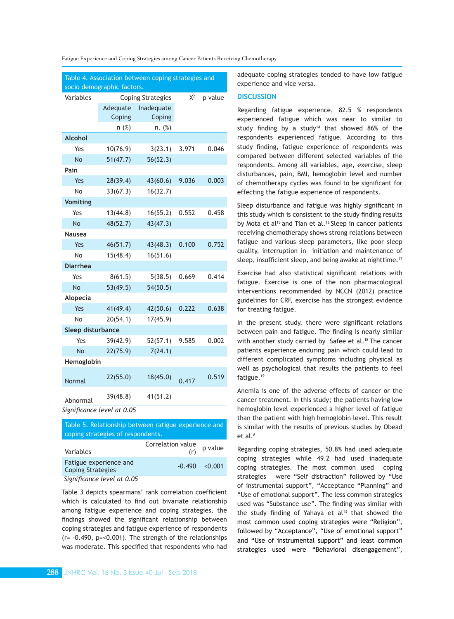|  |  |  |  |  |  | Fatigue Experience and Coping Strategies among Cancer Patients Receiving Chemotherapy |
|--|--|--|--|--|--|---------------------------------------------------------------------------------------|
|--|--|--|--|--|--|---------------------------------------------------------------------------------------|

| Table 4. Association between coping strategies and |                                              |            |       |       |
|----------------------------------------------------|----------------------------------------------|------------|-------|-------|
| socio demographic factors.                         |                                              |            |       |       |
| Variables                                          | <b>Coping Strategies</b><br>$X^2$<br>p value |            |       |       |
|                                                    | Adequate                                     | Inadequate |       |       |
|                                                    | Coping                                       | Coping     |       |       |
|                                                    | n(%)                                         | n. (%)     |       |       |
| <b>Alcohol</b>                                     |                                              |            |       |       |
| Yes                                                | 10(76.9)                                     | 3(23.1)    | 3.971 | 0.046 |
| No                                                 | 51(47.7)                                     | 56(52.3)   |       |       |
| Pain                                               |                                              |            |       |       |
| Yes                                                | 28(39.4)                                     | 43(60.6)   | 9.036 | 0.003 |
| No                                                 | 33(67.3)                                     | 16(32.7)   |       |       |
| <b>Vomiting</b>                                    |                                              |            |       |       |
| Yes                                                | 13(44.8)                                     | 16(55.2)   | 0.552 | 0.458 |
| <b>No</b>                                          | 48(52.7)                                     | 43(47.3)   |       |       |
| <b>Nausea</b>                                      |                                              |            |       |       |
| Yes                                                | 46(51.7)                                     | 43(48.3)   | 0.100 | 0.752 |
| No                                                 | 15(48.4)                                     | 16(51.6)   |       |       |
| <b>Diarrhea</b>                                    |                                              |            |       |       |
| Yes                                                | 8(61.5)                                      | 5(38.5)    | 0.669 | 0.414 |
| <b>No</b>                                          | 53(49.5)                                     | 54(50.5)   |       |       |
| Alopecia                                           |                                              |            |       |       |
| Yes                                                | 41(49.4)                                     | 42(50.6)   | 0.222 | 0.638 |
| No                                                 | 20(54.1)                                     | 17(45.9)   |       |       |
| Sleep disturbance                                  |                                              |            |       |       |
| Yes                                                | 39(42.9)                                     | 52(57.1)   | 9.585 | 0.002 |
| No                                                 | 22(75.9)                                     | 7(24.1)    |       |       |
| Hemoglobin                                         |                                              |            |       |       |
| Normal                                             | 22(55.0)                                     | 18(45.0)   | 0.417 | 0.519 |
| Abnormal                                           | 39(48.8)                                     | 41(51.2)   |       |       |
| Significance level at 0.05                         |                                              |            |       |       |

Table 5. Relationship between ratigue experience and coping strategies of respondents.

| Variables                                          | Correlation value<br>(r) | p value            |
|----------------------------------------------------|--------------------------|--------------------|
| Fatigue experience and<br><b>Coping Strategies</b> |                          | $-0.490 \le 0.001$ |
| $Cianificationcolot \{a,b,c\}$                     |                          |                    |

 *Significance level at 0.05* 

Table 3 depicts spearmans' rank correlation coefficient which is calculated to find out bivariate relationship among fatigue experience and coping strategies, the findings showed the significant relationship between coping strategies and fatigue experience of respondents (r= -0.490, p=<0.001). The strength of the relationships was moderate. This specified that respondents who had

adequate coping strategies tended to have low fatigue experience and vice versa.

## **DISCUSSION**

Regarding fatigue experience, 82.5 % respondents experienced fatigue which was near to similar to study finding by a study<sup>14</sup> that showed  $86\%$  of the respondents experienced fatigue. According to this study finding, fatigue experience of respondents was compared between different selected variables of the respondents. Among all variables, age, exercise, sleep disturbances, pain, BMI, hemoglobin level and number of chemotherapy cycles was found to be significant for effecting the fatigue experience of respondents.

Sleep disturbance and fatigue was highly significant in this study which is consistent to the study finding results by Mota et al<sup>15</sup> and Tian et al.<sup>16</sup> Sleep in cancer patients receiving chemotherapy shows strong relations between fatigue and various sleep parameters, like poor sleep quality, interruption in initiation and maintenance of sleep, insufficient sleep, and being awake at nighttime.<sup>17</sup>

Exercise had also statistical significant relations with fatigue. Exercise is one of the non pharmacological interventions recommended by NCCN (2012) practice guidelines for CRF, exercise has the strongest evidence for treating fatigue.

In the present study, there were significant relations between pain and fatigue. The finding is nearly similar with another study carried by Safee et al.<sup>18</sup> The cancer patients experience enduring pain which could lead to different complicated symptoms including physical as well as psychological that results the patients to feel fatigue.19

Anemia is one of the adverse effects of cancer or the cancer treatment. In this study; the patients having low hemoglobin level experienced a higher level of fatigue than the patient with high hemoglobin level. This result is similar with the results of previous studies by Obead et al.<sup>8</sup>

Regarding coping strategies, 50.8% had used adequate coping strategies while 49.2 had used inadequate coping strategies. The most common used coping strategies were "Self distraction" followed by "Use of instrumental support", "Acceptance "Planning" and "Use of emotional support". The less common strategies used was "Substance use". The finding was similar with the study finding of Yahaya et  $al<sup>13</sup>$  that showed the most common used coping strategies were "Religion", followed by "Acceptance", "Use of emotional support" and "Use of instrumental support" and least common strategies used were "Behavioral disengagement",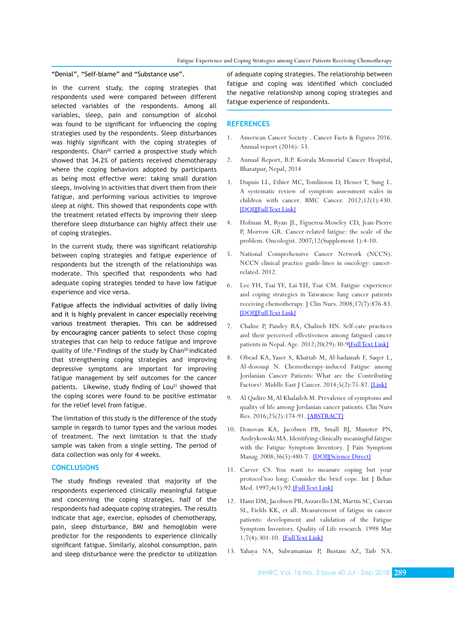"Denial", "Self-blame" and "Substance use".

In the current study, the coping strategies that respondents used were compared between different selected variables of the respondents. Among all variables, sleep, pain and consumption of alcohol was found to be significant for influencing the coping strategies used by the respondents. Sleep disturbances was highly significant with the coping strategies of respondents. Chan<sup>20</sup> carried a prospective study which showed that 34.2% of patients received chemotherapy where the coping behaviors adopted by participants as being most effective were: taking small duration sleeps, involving in activities that divert them from their fatigue, and performing various activities to improve sleep at night. This showed that respondents cope with the treatment related effects by improving their sleep therefore sleep disturbance can highly affect their use of coping strategies.

In the current study, there was significant relationship between coping strategies and fatigue experience of respondents but the strength of the relationships was moderate. This specified that respondents who had adequate coping strategies tended to have low fatigue experience and vice versa.

Fatigue affects the individual activities of daily living and it is highly prevalent in cancer especially receiving various treatment therapies. This can be addressed by encouraging cancer patients to select those coping strategies that can help to reduce fatigue and improve quality of life.<sup>6</sup> Findings of the study by Chan<sup>20</sup> indicated that strengthening coping strategies and improving depressive symptoms are important for improving fatigue management by self outcomes for the cancer patients. Likewise, study finding of Lou<sup>21</sup> showed that the coping scores were found to be positive estimator for the relief level from fatigue.

The limitation of this study is the difference of the study sample in regards to tumor types and the various modes of treatment. The next limitation is that the study sample was taken from a single setting. The period of data collection was only for 4 weeks.

# **CONCLUSIONS**

The study findings revealed that majority of the respondents experienced clinically meaningful fatigue and concerning the coping strategies, half of the respondents had adequate coping strategies. The results indicate that age, exercise, episodes of chemotherapy, pain, sleep disturbance, BMI and hemoglobin were predictor for the respondents to experience clinically significant fatigue. Similarly, alcohol consumption, pain and sleep disturbance were the predictor to utilization

of adequate coping strategies. The relationship between fatigue and coping was identified which concluded the negative relationship among coping strategies and fatigue experience of respondents.

## **REFERENCES**

- 1. American Cancer Society . Cancer Facts & Figures 2016. Annual report (2016): 53*.*
- 2. Annual Report, B.P. Koirala Memorial Cancer Hospital, Bharatpur, Nepal, 2014
- 3. Dupuis LL, Ethier MC, Tomlinson D, Hesser T, Sung L. A systematic review of symptom assessment scales in children with cancer. BMC Cancer. 2012;12(1):430. [\[DOI\]](https://doi.org/10.1186/1471-2407-12-430)[\[Full Text Link\]](https://bmccancer.biomedcentral.com/articles/10.1186/1471-2407-12-430)
- 4. Hofman M, Ryan JL, Figueroa-Moseley CD, Jean-Pierre P, Morrow GR. Cancer-related fatigue: the scale of the problem. Oncologist. 2007;12(Supplement 1):4-10.
- 5. National Comprehensive Cancer Network (NCCN). NCCN clinical practice guide-lines in oncology: cancerrelated. 2012.
- 6. Lee YH, Tsai YF, Lai YH, Tsai CM. Fatigue experience and coping strategies in Taiwanese lung cancer patients receiving chemotherapy. J Clin Nurs. 2008;17(7):876-83. [\[DOI\]](https://doi.org/10.1111/j.1365-2702.2007.02021.x)[\[Full Text Link\]](https://onlinelibrary.wiley.com/doi/full/10.1111/j.1365-2702.2007.02021.x)
- 7. Chalise P, Pandey RA, Chaliseb HN. Self-care practices and their perceived effectiveness among fatigued cancer patients in Nepal. Age. 2012;20(29):30-9[\[Full Text Link\]](https://s3.amazonaws.com/academia.edu.documents/32393591/Self_Care_Practices_and_Their_Perceived_Effectiveness_among_Fatigued_Cancer_Patients_in_Nepal-1.pdf?AWSAccessKeyId=AKIAIWOWYYGZ2Y53UL3A&Expires=1534228084&Signature=m71rksHN%2F%2F949EjKJJOYjfSM32U%3D)
- 8. Obead KA, Yaser S, Khattab M, Al-badainah F, Saqer L, Al-dosouqi N. Chemotherapy-induced Fatigue among Jordanian Cancer Patients: What are the Contributing Factors?. Middle East J Cancer. 2014;5(2):75-82. [\[Link\]](http://mejc.sums.ac.ir/index.php/mejc/article/view/160)
- 9. Al Qadire M, Al Khalaileh M. Prevalence of symptoms and quality of life among Jordanian cancer patients. Clin Nurs Res. 2016;25(2):174-91. [\[ABSTRACT\]](file:///C:/Users/Pradeep/Desktop/July_Sep%202018/Article/1098/%5bABSTRACT%5d)
- 10. Donovan KA, Jacobsen PB, Small BJ, Munster PN, Andrykowski MA. Identifying clinically meaningful fatigue with the Fatigue Symptom Inventory. J Pain Symptom Manag. 2008;36(5):480-7. [\[DOI\]](https://doi.org/10.1016/j.jpainsymman.2007.11.013)[\[Science Direct\]](https://www.sciencedirect.com/science/article/pii/S088539240800208X)
- 11. Carver CS. You want to measure coping but your protocol'too long: Consider the brief cope. Int J Behav Med. 1997;4(1):92.[\[Full Text Link\]](https://link.springer.com/article/10.1207/s15327558ijbm0401_6)
- 12. Hann DM, Jacobsen PB, Azzarello LM, Martin SC, Curran SL, Fields KK, et all. Measurement of fatigue in cancer patients: development and validation of the Fatigue Symptom Inventory. Quality of Life research. 1998 May 1;7(4):301-10. [\[Full Text Link\]](https://link.springer.com/article/10.1023/A:1024929829627)
- 13. Yahaya NA, Subramanian P, Bustam AZ, Taib NA.